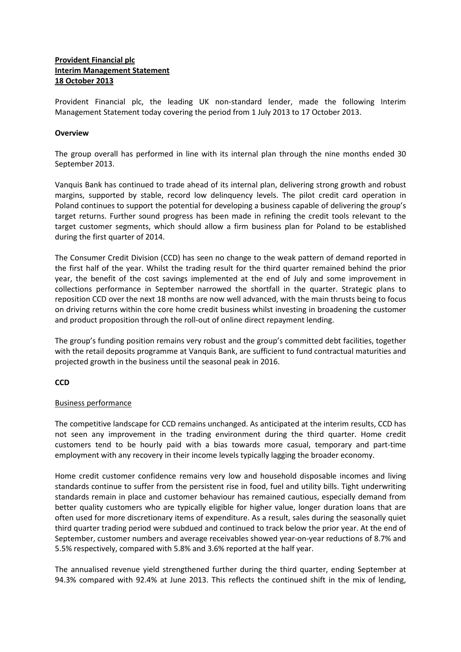# **Provident Financial plc Interim Management Statement 18 October 2013**

Provident Financial plc, the leading UK non-standard lender, made the following Interim Management Statement today covering the period from 1 July 2013 to 17 October 2013.

## **Overview**

The group overall has performed in line with its internal plan through the nine months ended 30 September 2013.

Vanquis Bank has continued to trade ahead of its internal plan, delivering strong growth and robust margins, supported by stable, record low delinquency levels. The pilot credit card operation in Poland continues to support the potential for developing a business capable of delivering the group's target returns. Further sound progress has been made in refining the credit tools relevant to the target customer segments, which should allow a firm business plan for Poland to be established during the first quarter of 2014.

The Consumer Credit Division (CCD) has seen no change to the weak pattern of demand reported in the first half of the year. Whilst the trading result for the third quarter remained behind the prior year, the benefit of the cost savings implemented at the end of July and some improvement in collections performance in September narrowed the shortfall in the quarter. Strategic plans to reposition CCD over the next 18 months are now well advanced, with the main thrusts being to focus on driving returns within the core home credit business whilst investing in broadening the customer and product proposition through the roll-out of online direct repayment lending.

The group's funding position remains very robust and the group's committed debt facilities, together with the retail deposits programme at Vanquis Bank, are sufficient to fund contractual maturities and projected growth in the business until the seasonal peak in 2016.

**CCD**

# Business performance

The competitive landscape for CCD remains unchanged. As anticipated at the interim results, CCD has not seen any improvement in the trading environment during the third quarter. Home credit customers tend to be hourly paid with a bias towards more casual, temporary and part-time employment with any recovery in their income levels typically lagging the broader economy.

Home credit customer confidence remains very low and household disposable incomes and living standards continue to suffer from the persistent rise in food, fuel and utility bills. Tight underwriting standards remain in place and customer behaviour has remained cautious, especially demand from better quality customers who are typically eligible for higher value, longer duration loans that are often used for more discretionary items of expenditure. As a result, sales during the seasonally quiet third quarter trading period were subdued and continued to track below the prior year. At the end of September, customer numbers and average receivables showed year-on-year reductions of 8.7% and 5.5% respectively, compared with 5.8% and 3.6% reported at the half year.

The annualised revenue yield strengthened further during the third quarter, ending September at 94.3% compared with 92.4% at June 2013. This reflects the continued shift in the mix of lending,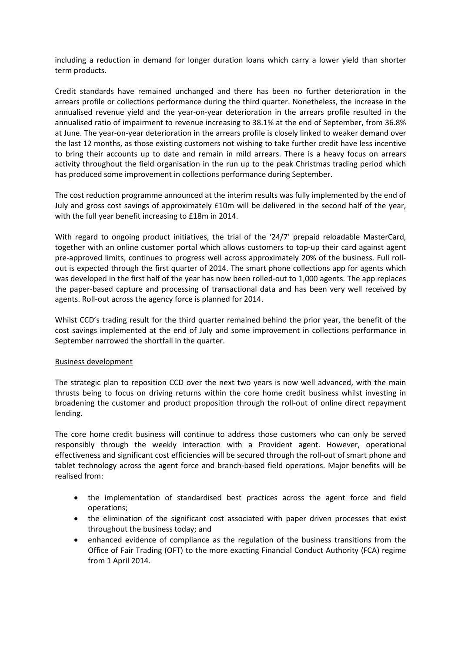including a reduction in demand for longer duration loans which carry a lower yield than shorter term products.

Credit standards have remained unchanged and there has been no further deterioration in the arrears profile or collections performance during the third quarter. Nonetheless, the increase in the annualised revenue yield and the year-on-year deterioration in the arrears profile resulted in the annualised ratio of impairment to revenue increasing to 38.1% at the end of September, from 36.8% at June. The year-on-year deterioration in the arrears profile is closely linked to weaker demand over the last 12 months, as those existing customers not wishing to take further credit have less incentive to bring their accounts up to date and remain in mild arrears. There is a heavy focus on arrears activity throughout the field organisation in the run up to the peak Christmas trading period which has produced some improvement in collections performance during September.

The cost reduction programme announced at the interim results was fully implemented by the end of July and gross cost savings of approximately £10m will be delivered in the second half of the year, with the full year benefit increasing to £18m in 2014.

With regard to ongoing product initiatives, the trial of the '24/7' prepaid reloadable MasterCard, together with an online customer portal which allows customers to top-up their card against agent pre-approved limits, continues to progress well across approximately 20% of the business. Full rollout is expected through the first quarter of 2014. The smart phone collections app for agents which was developed in the first half of the year has now been rolled-out to 1,000 agents. The app replaces the paper-based capture and processing of transactional data and has been very well received by agents. Roll-out across the agency force is planned for 2014.

Whilst CCD's trading result for the third quarter remained behind the prior year, the benefit of the cost savings implemented at the end of July and some improvement in collections performance in September narrowed the shortfall in the quarter.

#### Business development

The strategic plan to reposition CCD over the next two years is now well advanced, with the main thrusts being to focus on driving returns within the core home credit business whilst investing in broadening the customer and product proposition through the roll-out of online direct repayment lending.

The core home credit business will continue to address those customers who can only be served responsibly through the weekly interaction with a Provident agent. However, operational effectiveness and significant cost efficiencies will be secured through the roll-out of smart phone and tablet technology across the agent force and branch-based field operations. Major benefits will be realised from:

- the implementation of standardised best practices across the agent force and field operations;
- the elimination of the significant cost associated with paper driven processes that exist throughout the business today; and
- enhanced evidence of compliance as the regulation of the business transitions from the Office of Fair Trading (OFT) to the more exacting Financial Conduct Authority (FCA) regime from 1 April 2014.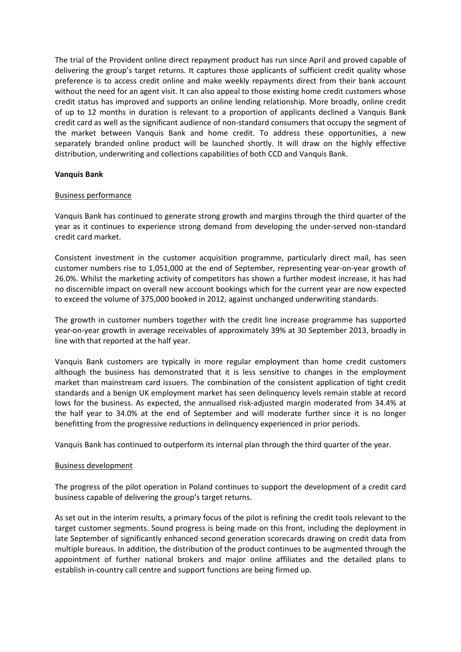The trial of the Provident online direct repayment product has run since April and proved capable of delivering the group's target returns. It captures those applicants of sufficient credit quality whose preference is to access credit online and make weekly repayments direct from their bank account without the need for an agent visit. It can also appeal to those existing home credit customers whose credit status has improved and supports an online lending relationship. More broadly, online credit of up to 12 months in duration is relevant to a proportion of applicants declined a Vanquis Bank credit card as well as the significant audience of non-standard consumers that occupy the segment of the market between Vanquis Bank and home credit. To address these opportunities, a new separately branded online product will be launched shortly. It will draw on the highly effective distribution, underwriting and collections capabilities of both CCD and Vanquis Bank.

#### **Vanquis Bank**

#### Business performance

Vanquis Bank has continued to generate strong growth and margins through the third quarter of the year as it continues to experience strong demand from developing the under-served non-standard credit card market.

Consistent investment in the customer acquisition programme, particularly direct mail, has seen customer numbers rise to 1,051,000 at the end of September, representing year-on-year growth of 26.0%. Whilst the marketing activity of competitors has shown a further modest increase, it has had no discernible impact on overall new account bookings which for the current year are now expected to exceed the volume of 375,000 booked in 2012, against unchanged underwriting standards.

The growth in customer numbers together with the credit line increase programme has supported year-on-year growth in average receivables of approximately 39% at 30 September 2013, broadly in line with that reported at the half year.

Vanquis Bank customers are typically in more regular employment than home credit customers although the business has demonstrated that it is less sensitive to changes in the employment market than mainstream card issuers. The combination of the consistent application of tight credit standards and a benign UK employment market has seen delinquency levels remain stable at record lows for the business. As expected, the annualised risk-adjusted margin moderated from 34.4% at the half year to 34.0% at the end of September and will moderate further since it is no longer benefitting from the progressive reductions in delinquency experienced in prior periods.

Vanquis Bank has continued to outperform its internal plan through the third quarter of the year.

#### Business development

The progress of the pilot operation in Poland continues to support the development of a credit card business capable of delivering the group's target returns.

As set out in the interim results, a primary focus of the pilot is refining the credit tools relevant to the target customer segments. Sound progress is being made on this front, including the deployment in late September of significantly enhanced second generation scorecards drawing on credit data from multiple bureaus. In addition, the distribution of the product continues to be augmented through the appointment of further national brokers and major online affiliates and the detailed plans to establish in-country call centre and support functions are being firmed up.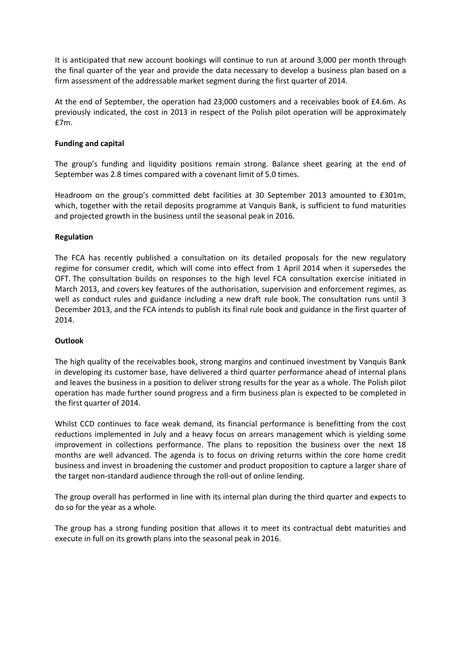It is anticipated that new account bookings will continue to run at around 3,000 per month through the final quarter of the year and provide the data necessary to develop a business plan based on a firm assessment of the addressable market segment during the first quarter of 2014.

At the end of September, the operation had 23,000 customers and a receivables book of £4.6m. As previously indicated, the cost in 2013 in respect of the Polish pilot operation will be approximately £7m.

## **Funding and capital**

The group's funding and liquidity positions remain strong. Balance sheet gearing at the end of September was 2.8 times compared with a covenant limit of 5.0 times.

Headroom on the group's committed debt facilities at 30 September 2013 amounted to £301m, which, together with the retail deposits programme at Vanquis Bank, is sufficient to fund maturities and projected growth in the business until the seasonal peak in 2016.

## **Regulation**

The FCA has recently published a consultation on its detailed proposals for the new regulatory regime for consumer credit, which will come into effect from 1 April 2014 when it supersedes the OFT. The consultation builds on responses to the high level FCA consultation exercise initiated in March 2013, and covers key features of the authorisation, supervision and enforcement regimes, as well as conduct rules and guidance including a new draft rule book. The consultation runs until 3 December 2013, and the FCA intends to publish its final rule book and guidance in the first quarter of 2014.

#### **Outlook**

The high quality of the receivables book, strong margins and continued investment by Vanquis Bank in developing its customer base, have delivered a third quarter performance ahead of internal plans and leaves the business in a position to deliver strong results for the year as a whole. The Polish pilot operation has made further sound progress and a firm business plan is expected to be completed in the first quarter of 2014.

Whilst CCD continues to face weak demand, its financial performance is benefitting from the cost reductions implemented in July and a heavy focus on arrears management which is yielding some improvement in collections performance. The plans to reposition the business over the next 18 months are well advanced. The agenda is to focus on driving returns within the core home credit business and invest in broadening the customer and product proposition to capture a larger share of the target non-standard audience through the roll-out of online lending.

The group overall has performed in line with its internal plan during the third quarter and expects to do so for the year as a whole.

The group has a strong funding position that allows it to meet its contractual debt maturities and execute in full on its growth plans into the seasonal peak in 2016.